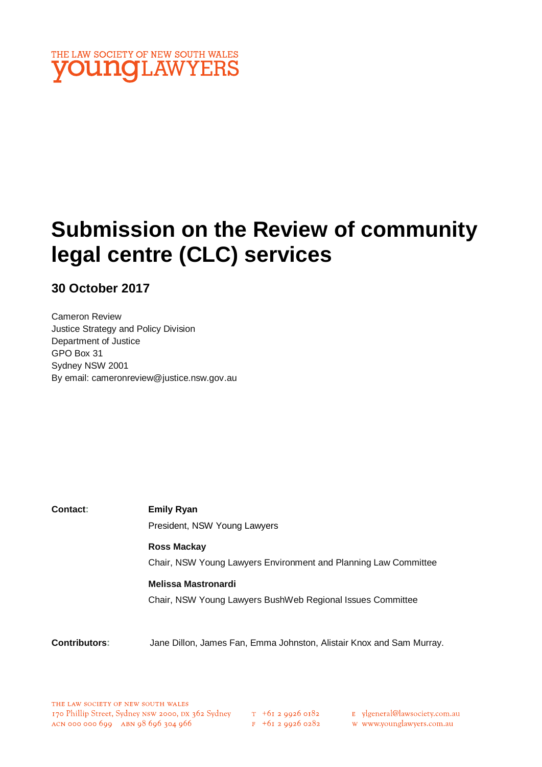

# **Submission on the Review of community legal centre (CLC) services**

**30 October 2017**

Cameron Review Justice Strategy and Policy Division Department of Justice GPO Box 31 Sydney NSW 2001 By email: cameronreview@justice.nsw.gov.au

| Contact: | <b>Emily Ryan</b>                                               |
|----------|-----------------------------------------------------------------|
|          | President, NSW Young Lawyers                                    |
|          | <b>Ross Mackay</b>                                              |
|          | Chair, NSW Young Lawyers Environment and Planning Law Committee |
|          | <b>Melissa Mastronardi</b>                                      |
|          | Chair, NSW Young Lawyers BushWeb Regional Issues Committee      |
|          |                                                                 |

**Contributors:** Jane Dillon, James Fan, Emma Johnston, Alistair Knox and Sam Murray.

 $T_{+61}$  2 9926 0182  $F$  +61 2 9926 0282 E ylgeneral@lawsociety.com.au

w www.younglawyers.com.au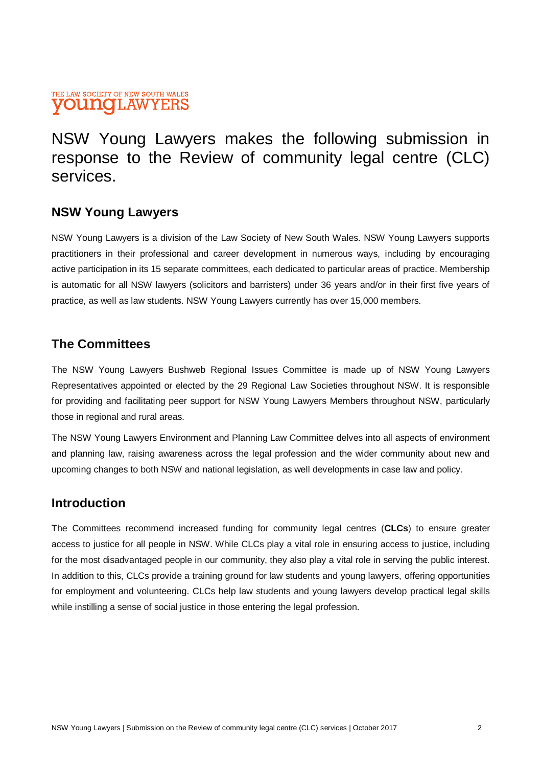#### THE LAW SOCIETY OF NEW SOUTH WALES **VOUNCLAWYERS**

# NSW Young Lawyers makes the following submission in response to the Review of community legal centre (CLC) services.

# **NSW Young Lawyers**

NSW Young Lawyers is a division of the Law Society of New South Wales. NSW Young Lawyers supports practitioners in their professional and career development in numerous ways, including by encouraging active participation in its 15 separate committees, each dedicated to particular areas of practice. Membership is automatic for all NSW lawyers (solicitors and barristers) under 36 years and/or in their first five years of practice, as well as law students. NSW Young Lawyers currently has over 15,000 members.

# **The Committees**

The NSW Young Lawyers Bushweb Regional Issues Committee is made up of NSW Young Lawyers Representatives appointed or elected by the 29 Regional Law Societies throughout NSW. It is responsible for providing and facilitating peer support for NSW Young Lawyers Members throughout NSW, particularly those in regional and rural areas.

The NSW Young Lawyers Environment and Planning Law Committee delves into all aspects of environment and planning law, raising awareness across the legal profession and the wider community about new and upcoming changes to both NSW and national legislation, as well developments in case law and policy.

## **Introduction**

The Committees recommend increased funding for community legal centres (**CLCs**) to ensure greater access to justice for all people in NSW. While CLCs play a vital role in ensuring access to justice, including for the most disadvantaged people in our community, they also play a vital role in serving the public interest. In addition to this, CLCs provide a training ground for law students and young lawyers, offering opportunities for employment and volunteering. CLCs help law students and young lawyers develop practical legal skills while instilling a sense of social justice in those entering the legal profession.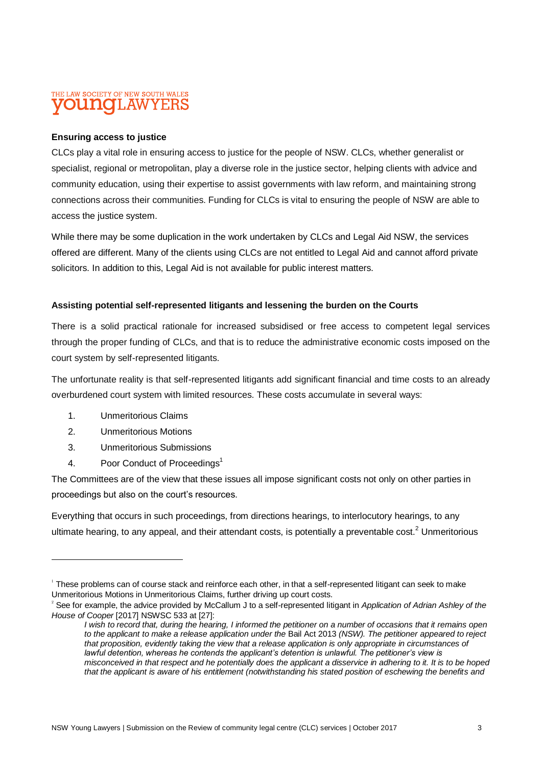#### THE LAW SOCIETY OF NEW SOUTH WALES mate **I.AW**

#### **Ensuring access to justice**

CLCs play a vital role in ensuring access to justice for the people of NSW. CLCs, whether generalist or specialist, regional or metropolitan, play a diverse role in the justice sector, helping clients with advice and community education, using their expertise to assist governments with law reform, and maintaining strong connections across their communities. Funding for CLCs is vital to ensuring the people of NSW are able to access the justice system.

While there may be some duplication in the work undertaken by CLCs and Legal Aid NSW, the services offered are different. Many of the clients using CLCs are not entitled to Legal Aid and cannot afford private solicitors. In addition to this, Legal Aid is not available for public interest matters.

#### **Assisting potential self-represented litigants and lessening the burden on the Courts**

There is a solid practical rationale for increased subsidised or free access to competent legal services through the proper funding of CLCs, and that is to reduce the administrative economic costs imposed on the court system by self-represented litigants.

The unfortunate reality is that self-represented litigants add significant financial and time costs to an already overburdened court system with limited resources. These costs accumulate in several ways:

- 1. Unmeritorious Claims
- 2. Unmeritorious Motions

 $\overline{a}$ 

- 3. Unmeritorious Submissions
- 4. Poor Conduct of Proceedings<sup>1</sup>

The Committees are of the view that these issues all impose significant costs not only on other parties in proceedings but also on the court's resources.

Everything that occurs in such proceedings, from directions hearings, to interlocutory hearings, to any ultimate hearing, to any appeal, and their attendant costs, is potentially a preventable cost.<sup>2</sup> Unmeritorious

<sup>&</sup>lt;sup>1</sup> These problems can of course stack and reinforce each other, in that a self-represented litigant can seek to make Unmeritorious Motions in Unmeritorious Claims, further driving up court costs.

<sup>2</sup> See for example, the advice provided by McCallum J to a self-represented litigant in *Application of Adrian Ashley of the House of Cooper* [2017] NSWSC 533 at [27]:

*I wish to record that, during the hearing, I informed the petitioner on a number of occasions that it remains open to the applicant to make a release application under the* Bail Act 2013 *(NSW). The petitioner appeared to reject that proposition, evidently taking the view that a release application is only appropriate in circumstances of lawful detention, whereas he contends the applicant's detention is unlawful. The petitioner's view is misconceived in that respect and he potentially does the applicant a disservice in adhering to it. It is to be hoped that the applicant is aware of his entitlement (notwithstanding his stated position of eschewing the benefits and*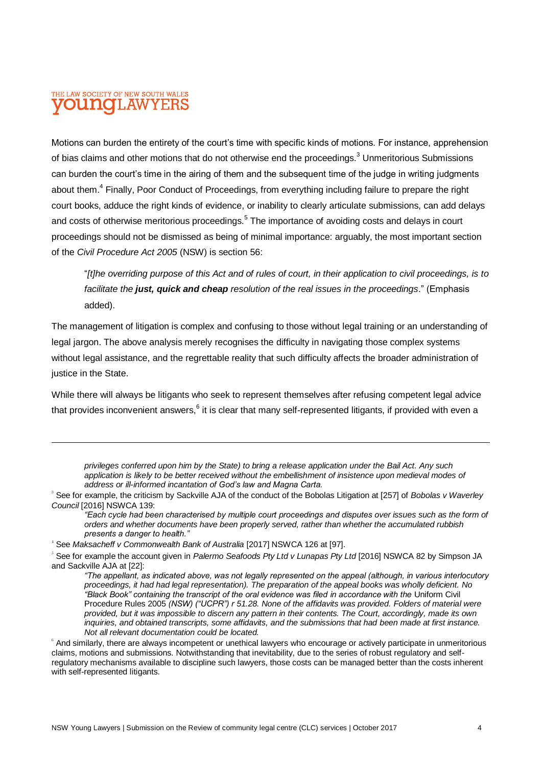## THE LAW SOCIETY OF NEW SOUTH WALES **DUINOH.AW**

 $\overline{a}$ 

Motions can burden the entirety of the court's time with specific kinds of motions. For instance, apprehension of bias claims and other motions that do not otherwise end the proceedings.<sup>3</sup> Unmeritorious Submissions can burden the court's time in the airing of them and the subsequent time of the judge in writing judgments about them.<sup>4</sup> Finally, Poor Conduct of Proceedings, from everything including failure to prepare the right court books, adduce the right kinds of evidence, or inability to clearly articulate submissions, can add delays and costs of otherwise meritorious proceedings.<sup>5</sup> The importance of avoiding costs and delays in court proceedings should not be dismissed as being of minimal importance: arguably, the most important section of the *Civil Procedure Act 2005* (NSW) is section 56:

"*[t]he overriding purpose of this Act and of rules of court, in their application to civil proceedings, is to facilitate the just, quick and cheap resolution of the real issues in the proceedings*." (Emphasis added).

The management of litigation is complex and confusing to those without legal training or an understanding of legal jargon. The above analysis merely recognises the difficulty in navigating those complex systems without legal assistance, and the regrettable reality that such difficulty affects the broader administration of justice in the State.

While there will always be litigants who seek to represent themselves after refusing competent legal advice that provides inconvenient answers,  $^6$  it is clear that many self-represented litigants, if provided with even a

*privileges conferred upon him by the State) to bring a release application under the Bail Act. Any such*  application is likely to be better received without the embellishment of insistence upon medieval modes of *address or ill-informed incantation of God's law and Magna Carta.*

3 See for example, the criticism by Sackville AJA of the conduct of the Bobolas Litigation at [257] of *Bobolas v Waverley Council* [2016] NSWCA 139:

*"Each cycle had been characterised by multiple court proceedings and disputes over issues such as the form of orders and whether documents have been properly served, rather than whether the accumulated rubbish presents a danger to health."*

4 See *Maksacheff v Commonwealth Bank of Australia* [2017] NSWCA 126 at [97].

<sup>5</sup> See for example the account given in *Palermo Seafoods Pty Ltd v Lunapas Pty Ltd* [2016] NSWCA 82 by Simpson JA and Sackville AJA at [22]:

*"The appellant, as indicated above, was not legally represented on the appeal (although, in various interlocutory proceedings, it had had legal representation). The preparation of the appeal books was wholly deficient. No "Black Book" containing the transcript of the oral evidence was filed in accordance with the* Uniform Civil Procedure Rules 2005 *(NSW) ("UCPR") r 51.28. None of the affidavits was provided. Folders of material were provided, but it was impossible to discern any pattern in their contents. The Court, accordingly, made its own inquiries, and obtained transcripts, some affidavits, and the submissions that had been made at first instance. Not all relevant documentation could be located.*

6 And similarly, there are always incompetent or unethical lawyers who encourage or actively participate in unmeritorious claims, motions and submissions. Notwithstanding that inevitability, due to the series of robust regulatory and selfregulatory mechanisms available to discipline such lawyers, those costs can be managed better than the costs inherent with self-represented litigants.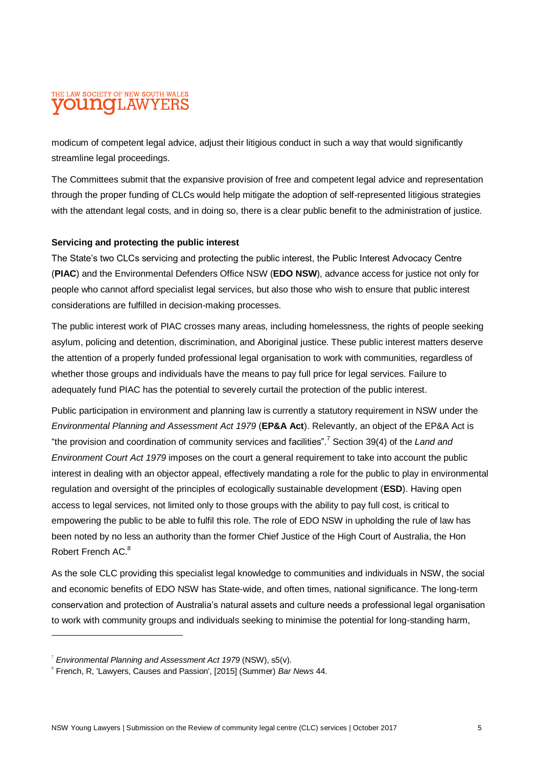# THE LAW SOCIETY OF NEW SOUTH WALES **OUNCLAW**

modicum of competent legal advice, adjust their litigious conduct in such a way that would significantly streamline legal proceedings.

The Committees submit that the expansive provision of free and competent legal advice and representation through the proper funding of CLCs would help mitigate the adoption of self-represented litigious strategies with the attendant legal costs, and in doing so, there is a clear public benefit to the administration of justice.

#### **Servicing and protecting the public interest**

The State's two CLCs servicing and protecting the public interest, the Public Interest Advocacy Centre (**PIAC**) and the Environmental Defenders Office NSW (**EDO NSW**), advance access for justice not only for people who cannot afford specialist legal services, but also those who wish to ensure that public interest considerations are fulfilled in decision-making processes.

The public interest work of PIAC crosses many areas, including homelessness, the rights of people seeking asylum, policing and detention, discrimination, and Aboriginal justice. These public interest matters deserve the attention of a properly funded professional legal organisation to work with communities, regardless of whether those groups and individuals have the means to pay full price for legal services. Failure to adequately fund PIAC has the potential to severely curtail the protection of the public interest.

Public participation in environment and planning law is currently a statutory requirement in NSW under the *Environmental Planning and Assessment Act 1979* (**EP&A Act**). Relevantly, an object of the EP&A Act is "the provision and coordination of community services and facilities".<sup>7</sup> Section 39(4) of the *Land and Environment Court Act 1979* imposes on the court a general requirement to take into account the public interest in dealing with an objector appeal, effectively mandating a role for the public to play in environmental regulation and oversight of the principles of ecologically sustainable development (**ESD**). Having open access to legal services, not limited only to those groups with the ability to pay full cost, is critical to empowering the public to be able to fulfil this role. The role of EDO NSW in upholding the rule of law has been noted by no less an authority than the former Chief Justice of the High Court of Australia, the Hon Robert French AC.<sup>8</sup>

As the sole CLC providing this specialist legal knowledge to communities and individuals in NSW, the social and economic benefits of EDO NSW has State-wide, and often times, national significance. The long-term conservation and protection of Australia's natural assets and culture needs a professional legal organisation to work with community groups and individuals seeking to minimise the potential for long-standing harm,

 $\overline{a}$ 

<sup>7</sup> *Environmental Planning and Assessment Act 1979* (NSW), s5(v).

<sup>8</sup> French, R, 'Lawyers, Causes and Passion', [2015] (Summer) *Bar News* 44.